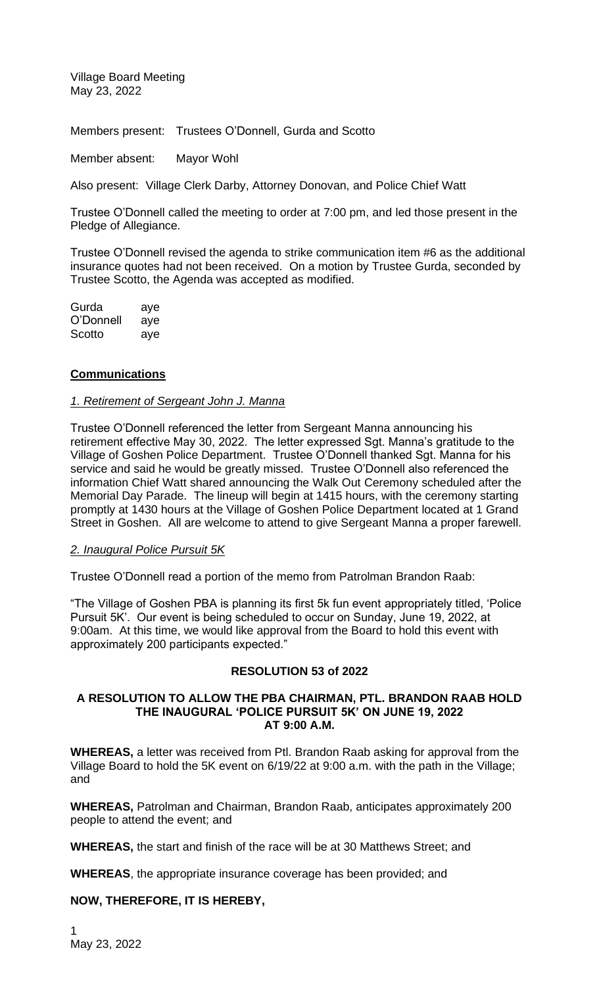Village Board Meeting May 23, 2022

Members present: Trustees O'Donnell, Gurda and Scotto

Member absent: Mayor Wohl

Also present: Village Clerk Darby, Attorney Donovan, and Police Chief Watt

Trustee O'Donnell called the meeting to order at 7:00 pm, and led those present in the Pledge of Allegiance.

Trustee O'Donnell revised the agenda to strike communication item #6 as the additional insurance quotes had not been received. On a motion by Trustee Gurda, seconded by Trustee Scotto, the Agenda was accepted as modified.

Gurda aye O'Donnell aye Scotto aye

### **Communications**

#### *1. Retirement of Sergeant John J. Manna*

Trustee O'Donnell referenced the letter from Sergeant Manna announcing his retirement effective May 30, 2022. The letter expressed Sgt. Manna's gratitude to the Village of Goshen Police Department. Trustee O'Donnell thanked Sgt. Manna for his service and said he would be greatly missed. Trustee O'Donnell also referenced the information Chief Watt shared announcing the Walk Out Ceremony scheduled after the Memorial Day Parade. The lineup will begin at 1415 hours, with the ceremony starting promptly at 1430 hours at the Village of Goshen Police Department located at 1 Grand Street in Goshen. All are welcome to attend to give Sergeant Manna a proper farewell.

#### *2. Inaugural Police Pursuit 5K*

Trustee O'Donnell read a portion of the memo from Patrolman Brandon Raab:

"The Village of Goshen PBA is planning its first 5k fun event appropriately titled, 'Police Pursuit 5K'. Our event is being scheduled to occur on Sunday, June 19, 2022, at 9:00am. At this time, we would like approval from the Board to hold this event with approximately 200 participants expected."

#### **RESOLUTION 53 of 2022**

#### **A RESOLUTION TO ALLOW THE PBA CHAIRMAN, PTL. BRANDON RAAB HOLD THE INAUGURAL 'POLICE PURSUIT 5K' ON JUNE 19, 2022 AT 9:00 A.M.**

**WHEREAS,** a letter was received from Ptl. Brandon Raab asking for approval from the Village Board to hold the 5K event on 6/19/22 at 9:00 a.m. with the path in the Village; and

**WHEREAS,** Patrolman and Chairman, Brandon Raab, anticipates approximately 200 people to attend the event; and

**WHEREAS,** the start and finish of the race will be at 30 Matthews Street; and

**WHEREAS**, the appropriate insurance coverage has been provided; and

#### **NOW, THEREFORE, IT IS HEREBY,**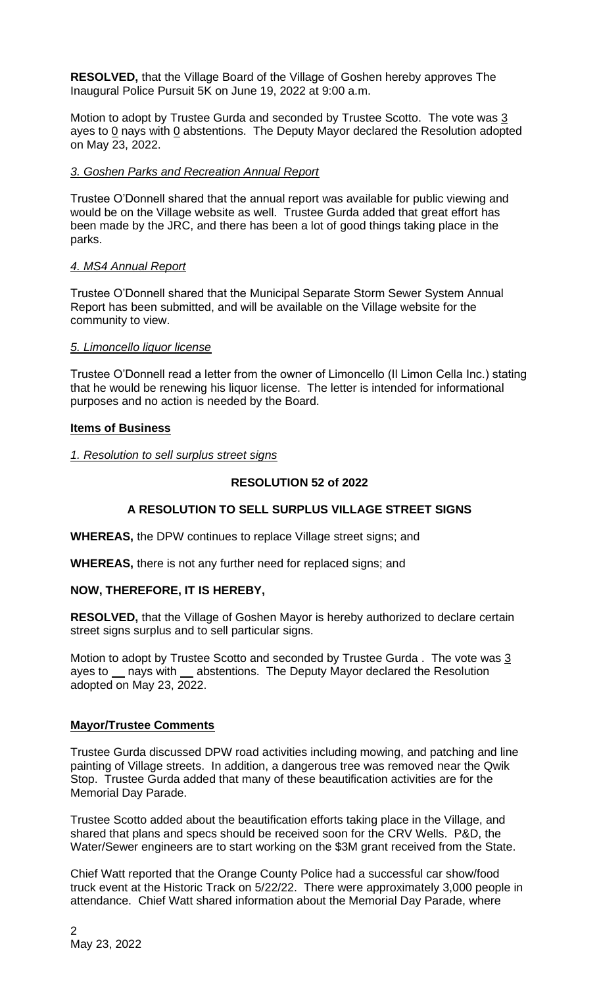**RESOLVED,** that the Village Board of the Village of Goshen hereby approves The Inaugural Police Pursuit 5K on June 19, 2022 at 9:00 a.m.

Motion to adopt by Trustee Gurda and seconded by Trustee Scotto. The vote was 3 ayes to  $0$  nays with  $0$  abstentions. The Deputy Mayor declared the Resolution adopted on May 23, 2022.

## *3. Goshen Parks and Recreation Annual Report*

Trustee O'Donnell shared that the annual report was available for public viewing and would be on the Village website as well. Trustee Gurda added that great effort has been made by the JRC, and there has been a lot of good things taking place in the parks.

### *4. MS4 Annual Report*

Trustee O'Donnell shared that the Municipal Separate Storm Sewer System Annual Report has been submitted, and will be available on the Village website for the community to view.

### *5. Limoncello liquor license*

Trustee O'Donnell read a letter from the owner of Limoncello (Il Limon Cella Inc.) stating that he would be renewing his liquor license. The letter is intended for informational purposes and no action is needed by the Board.

### **Items of Business**

### *1. Resolution to sell surplus street signs*

#### **RESOLUTION 52 of 2022**

## **A RESOLUTION TO SELL SURPLUS VILLAGE STREET SIGNS**

**WHEREAS,** the DPW continues to replace Village street signs; and

**WHEREAS,** there is not any further need for replaced signs; and

## **NOW, THEREFORE, IT IS HEREBY,**

**RESOLVED,** that the Village of Goshen Mayor is hereby authorized to declare certain street signs surplus and to sell particular signs.

Motion to adopt by Trustee Scotto and seconded by Trustee Gurda . The vote was 3 ayes to \_ nays with \_ abstentions. The Deputy Mayor declared the Resolution adopted on May 23, 2022.

## **Mayor/Trustee Comments**

Trustee Gurda discussed DPW road activities including mowing, and patching and line painting of Village streets. In addition, a dangerous tree was removed near the Qwik Stop. Trustee Gurda added that many of these beautification activities are for the Memorial Day Parade.

Trustee Scotto added about the beautification efforts taking place in the Village, and shared that plans and specs should be received soon for the CRV Wells. P&D, the Water/Sewer engineers are to start working on the \$3M grant received from the State.

Chief Watt reported that the Orange County Police had a successful car show/food truck event at the Historic Track on 5/22/22. There were approximately 3,000 people in attendance. Chief Watt shared information about the Memorial Day Parade, where